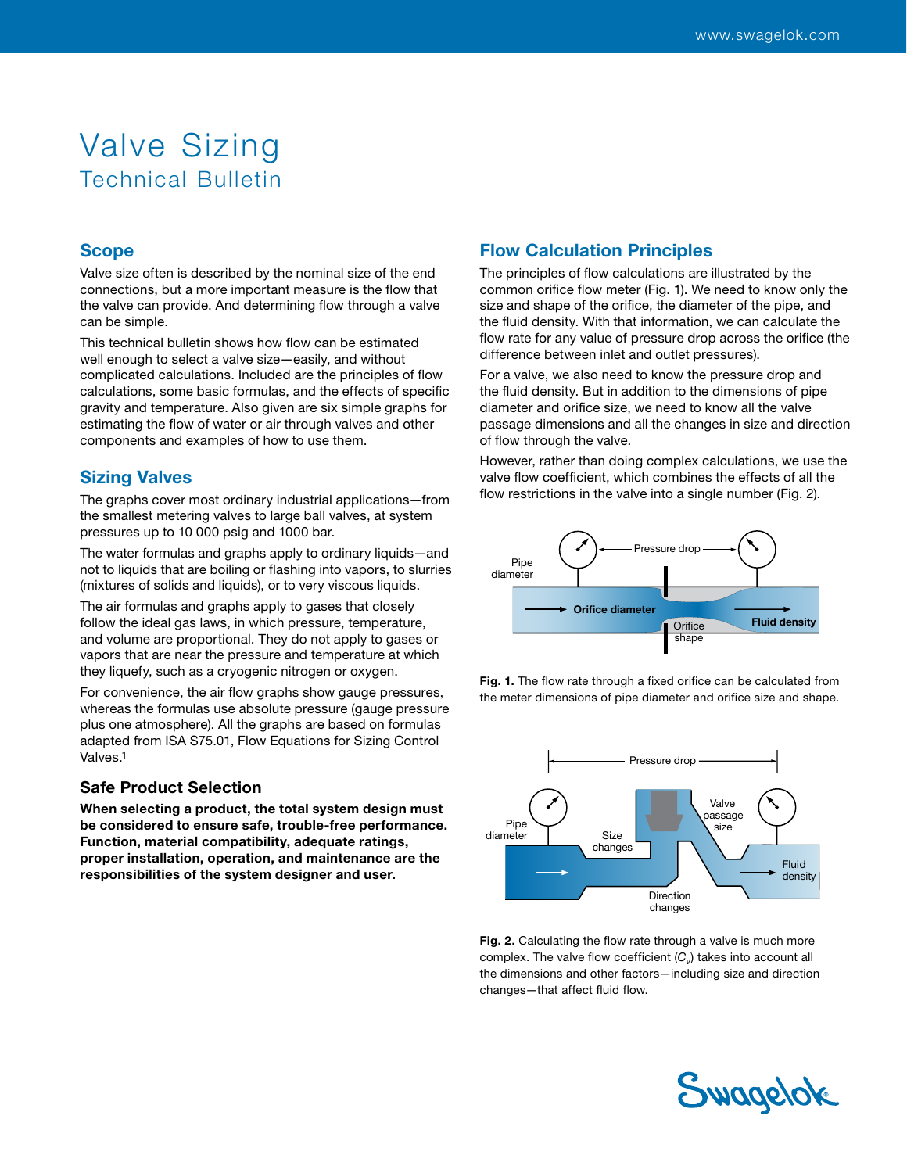# Valve Sizing Technical Bulletin

### Scope

Valve size often is described by the nominal size of the end connections, but a more important measure is the flow that the valve can provide. And determining flow through a valve can be simple.

This technical bulletin shows how flow can be estimated well enough to select a valve size—easily, and without complicated calculations. Included are the principles of flow calculations, some basic formulas, and the effects of specific gravity and temperature. Also given are six simple graphs for estimating the flow of water or air through valves and other components and examples of how to use them.

## Sizing Valves

The graphs cover most ordinary industrial applications—from the smallest metering valves to large ball valves, at system pressures up to 10 000 psig and 1000 bar.

The water formulas and graphs apply to ordinary liquids—and not to liquids that are boiling or flashing into vapors, to slurries (mixtures of solids and liquids), or to very viscous liquids.

The air formulas and graphs apply to gases that closely follow the ideal gas laws, in which pressure, temperature, and volume are proportional. They do not apply to gases or vapors that are near the pressure and temperature at which they liquefy, such as a cryogenic nitrogen or oxygen.

For convenience, the air flow graphs show gauge pressures, whereas the formulas use absolute pressure (gauge pressure plus one atmosphere). All the graphs are based on formulas adapted from ISA S75.01, Flow Equations for Sizing Control Valves.1

#### Safe Product Selection

When selecting a product, the total system design must be considered to ensure safe, trouble-free performance. Function, material compatibility, adequate ratings, proper installation, operation, and maintenance are the responsibilities of the system designer and user.

## Flow Calculation Principles

The principles of flow calculations are illustrated by the common orifice flow meter (Fig. 1). We need to know only the size and shape of the orifice, the diameter of the pipe, and the fluid density. With that information, we can calculate the flow rate for any value of pressure drop across the orifice (the difference between inlet and outlet pressures).

For a valve, we also need to know the pressure drop and the fluid density. But in addition to the dimensions of pipe diameter and orifice size, we need to know all the valve passage dimensions and all the changes in size and direction of flow through the valve.

However, rather than doing complex calculations, we use the valve flow coefficient, which combines the effects of all the flow restrictions in the valve into a single number (Fig. 2).



Fig. 1. The flow rate through a fixed orifice can be calculated from the meter dimensions of pipe diameter and orifice size and shape.



Fig. 2. Calculating the flow rate through a valve is much more complex. The valve flow coefficient  $(C_v)$  takes into account all the dimensions and other factors—including size and direction changes—that affect fluid flow.

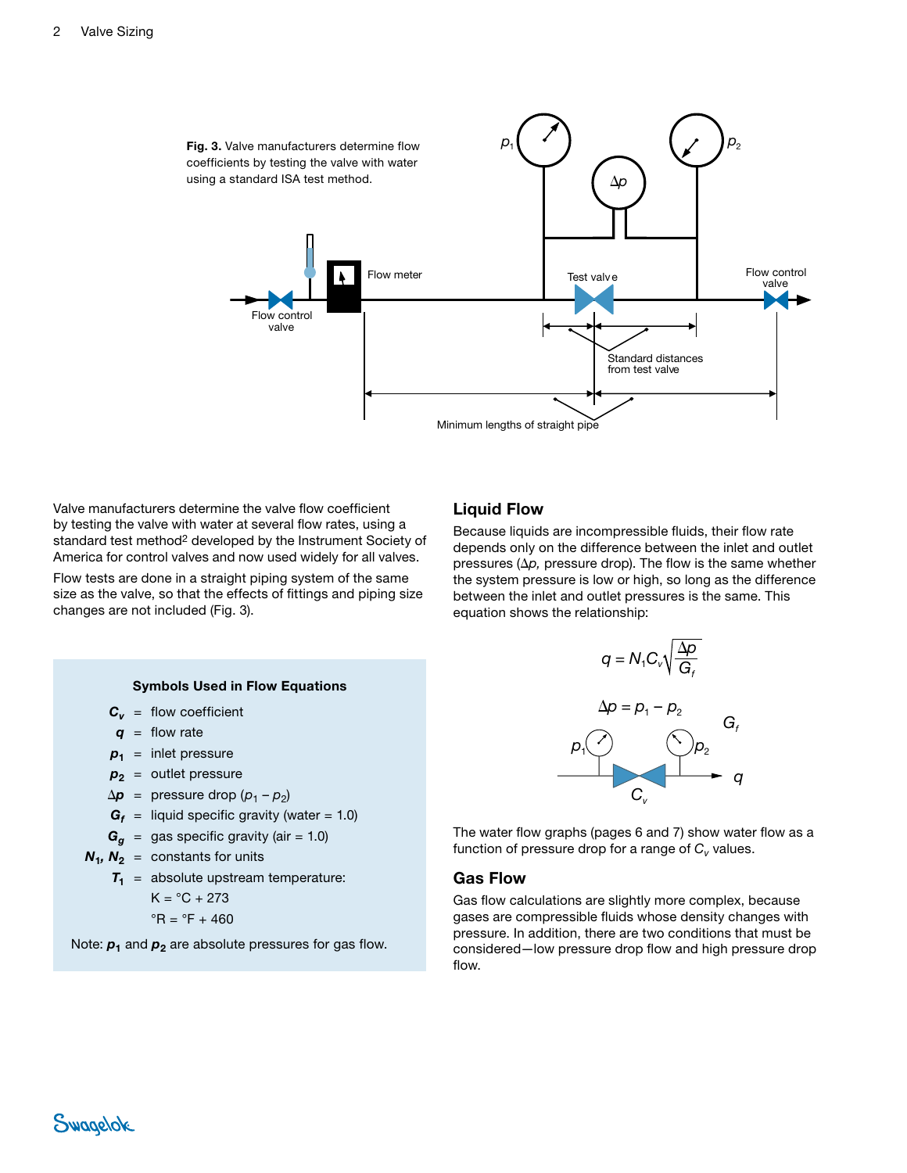

Valve manufacturers determine the valve flow coefficient by testing the valve with water at several flow rates, using a standard test method<sup>2</sup> developed by the Instrument Society of America for control valves and now used widely for all valves.

Flow tests are done in a straight piping system of the same size as the valve, so that the effects of fittings and piping size changes are not included (Fig. 3).

#### Liquid Flow

Because liquids are incompressible fluids, their flow rate depends only on the difference between the inlet and outlet pressures  $(\Delta p)$ , pressure drop). The flow is the same whether the system pressure is low or high, so long as the difference between the inlet and outlet pressures is the same. This equation shows the relationship:



The water flow graphs (pages 6 and 7) show water flow as a function of pressure drop for a range of  $C_v$  values.

### Gas Flow

Gas flow calculations are slightly more complex, because gases are compressible fluids whose density changes with pressure. In addition, there are two conditions that must be considered—low pressure drop flow and high pressure drop flow.

#### Symbols Used in Flow Equations

 $C_v$  = flow coefficient

*q* = flow rate

- $p_1$  = inlet pressure
- $p_2$  = outlet pressure
- $\Delta p$  = pressure drop  $(p_1 p_2)$
- $G_f$  = liquid specific gravity (water = 1.0)
- $G_g$  = gas specific gravity (air = 1.0)
- $N_1$ ,  $N_2$  = constants for units
	- $T_1$  = absolute upstream temperature:

$$
K = {}^{\circ}C + 273
$$

$$
{}^{\circ}R = {}^{\circ}F + 460
$$

$$
11 - 17400
$$

Note:  $p_1$  and  $p_2$  are absolute pressures for gas flow.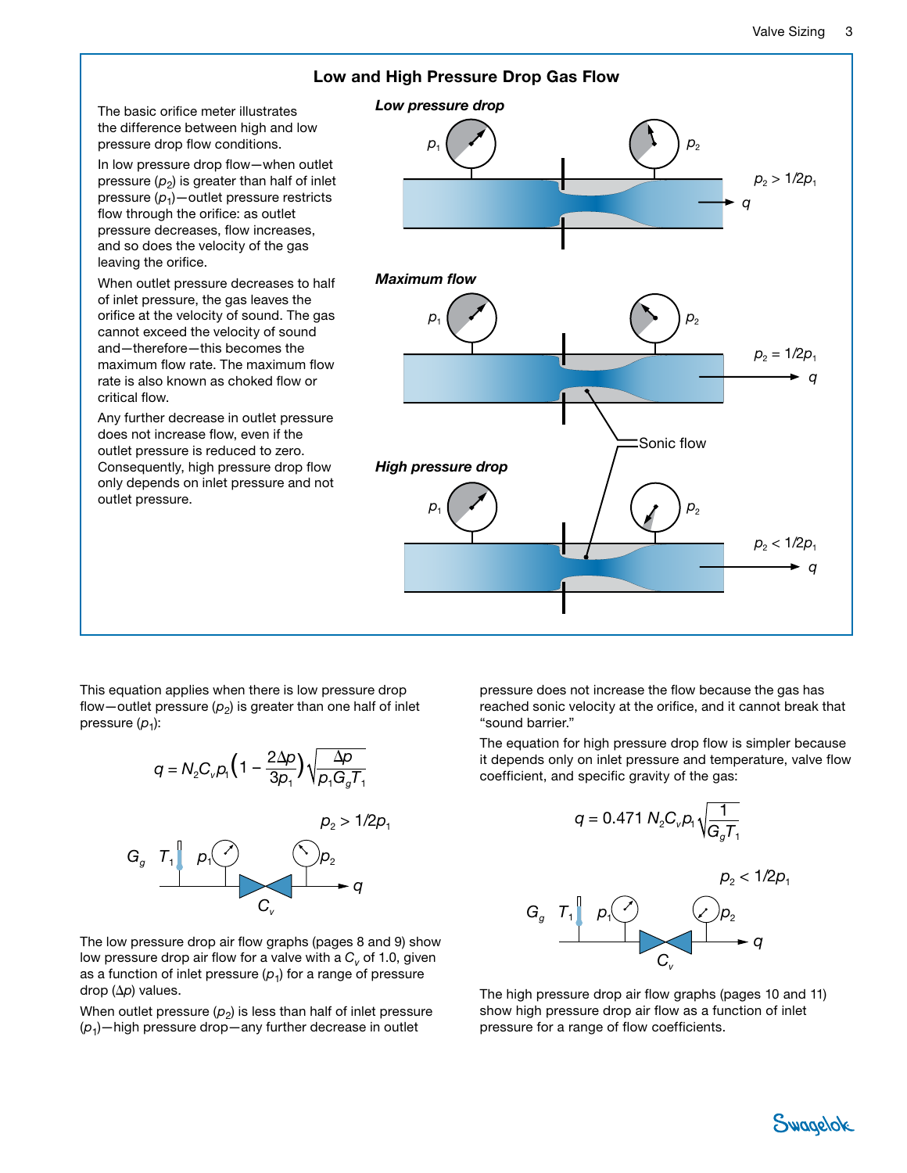

This equation applies when there is low pressure drop flow—outlet pressure  $(p_2)$  is greater than one half of inlet pressure  $(p_1)$ :

$$
q = N_2 C_v p_1 \left(1 - \frac{2\Delta p}{3p_1}\right) \sqrt{\frac{\Delta p}{p_1 G_g T_1}}
$$



The low pressure drop air flow graphs (pages 8 and 9) show low pressure drop air flow for a valve with a  $C_v$  of 1.0, given as a function of inlet pressure  $(p_1)$  for a range of pressure drop  $(\Delta p)$  values.

When outlet pressure  $(p_2)$  is less than half of inlet pressure (*p*1)—high pressure drop—any further decrease in outlet

pressure does not increase the flow because the gas has reached sonic velocity at the orifice, and it cannot break that "sound barrier."

The equation for high pressure drop flow is simpler because it depends only on inlet pressure and temperature, valve flow coefficient, and specific gravity of the gas:



The high pressure drop air flow graphs (pages 10 and 11) show high pressure drop air flow as a function of inlet pressure for a range of flow coefficients.

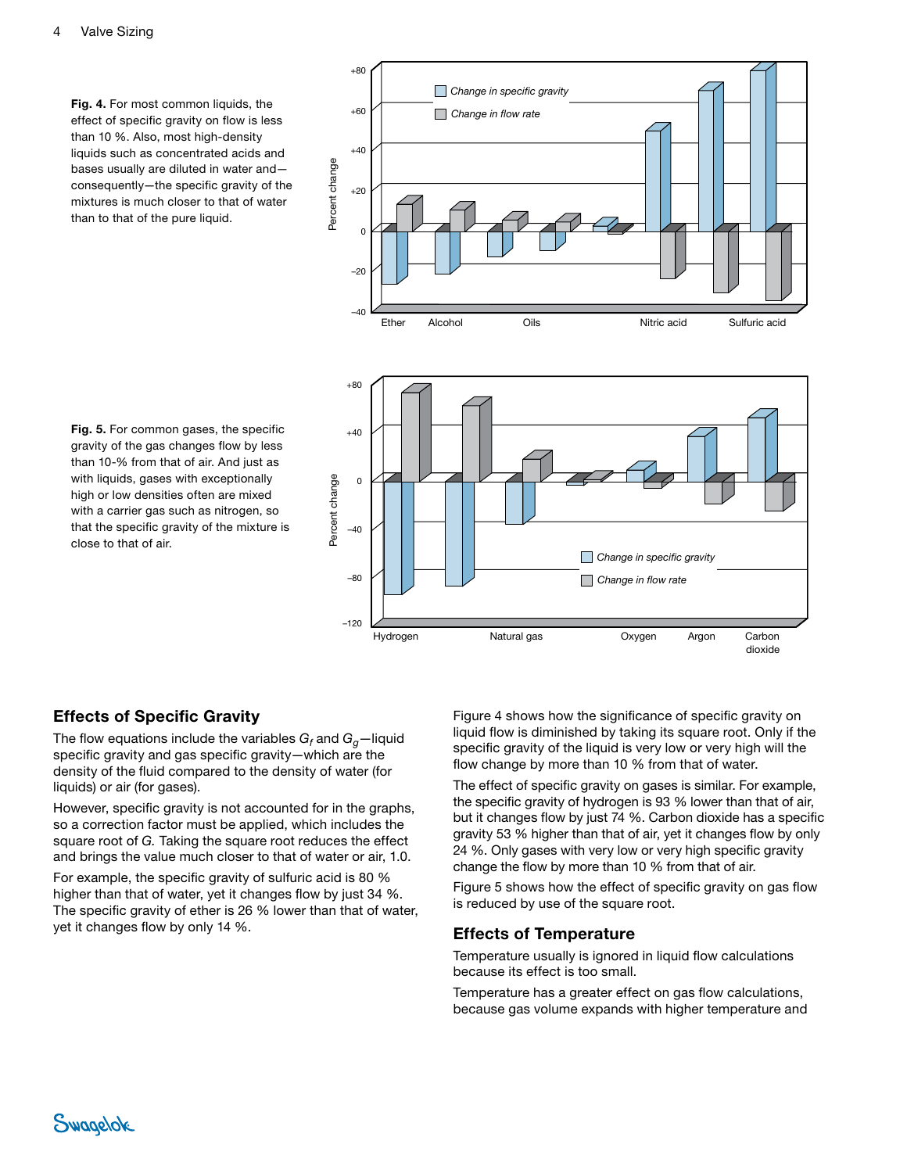Fig. 4. For most common liquids, the effect of specific gravity on flow is less than 10 %. Also, most high-density liquids such as concentrated acids and bases usually are diluted in water and consequently—the specific gravity of the mixtures is much closer to that of water than to that of the pure liquid.



Fig. 5. For common gases, the specific gravity of the gas changes flow by less than 10-% from that of air. And just as with liquids, gases with exceptionally high or low densities often are mixed with a carrier gas such as nitrogen, so that the specific gravity of the mixture is close to that of air.

# Effects of Specific Gravity

The flow equations include the variables  $G_f$  and  $G_g-$ liquid specific gravity and gas specific gravity—which are the density of the fluid compared to the density of water (for liquids) or air (for gases).

However, specific gravity is not accounted for in the graphs, so a correction factor must be applied, which includes the square root of *G.* Taking the square root reduces the effect and brings the value much closer to that of water or air, 1.0.

For example, the specific gravity of sulfuric acid is 80 % higher than that of water, yet it changes flow by just 34 %. The specific gravity of ether is 26 % lower than that of water, yet it changes flow by only 14 %.

Figure 4 shows how the significance of specific gravity on liquid flow is diminished by taking its square root. Only if the specific gravity of the liquid is very low or very high will the flow change by more than 10 % from that of water.

The effect of specific gravity on gases is similar. For example, the specific gravity of hydrogen is 93 % lower than that of air, but it changes flow by just 74 %. Carbon dioxide has a specific gravity 53 % higher than that of air, yet it changes flow by only 24 %. Only gases with very low or very high specific gravity change the flow by more than 10 % from that of air.

Figure 5 shows how the effect of specific gravity on gas flow is reduced by use of the square root.

## Effects of Temperature

Temperature usually is ignored in liquid flow calculations because its effect is too small.

Temperature has a greater effect on gas flow calculations, because gas volume expands with higher temperature and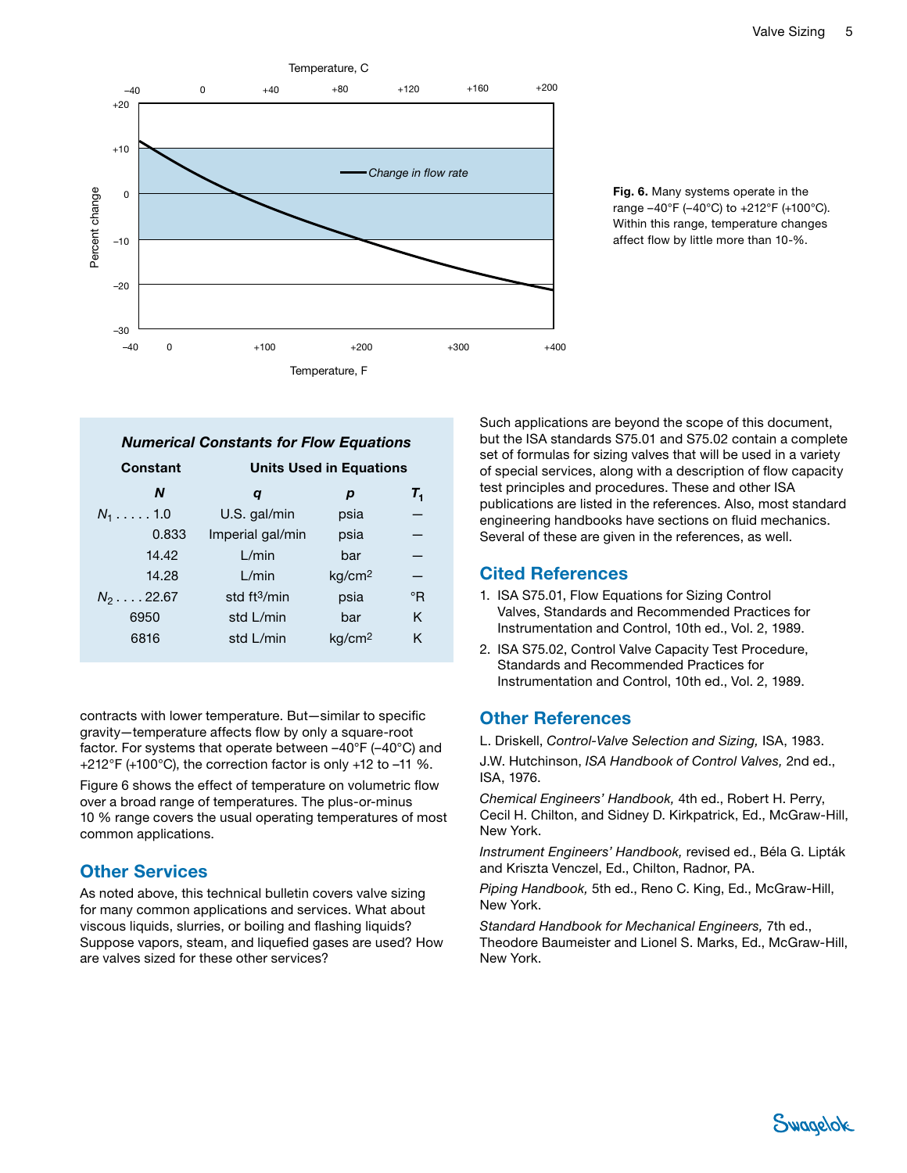

Fig. 6. Many systems operate in the range –40°F (–40°C) to +212°F (+100°C). Within this range, temperature changes affect flow by little more than 10-%.

| <b>Numerical Constants for Flow Equations</b> |                                |                    |       |
|-----------------------------------------------|--------------------------------|--------------------|-------|
| Constant                                      | <b>Units Used in Equations</b> |                    |       |
| N                                             | q                              | р                  | $T_1$ |
| $N_1$ 1.0                                     | U.S. gal/min                   | psia               |       |
| 0.833                                         | Imperial gal/min               | psia               |       |
| 14.42                                         | L/min                          | bar                |       |
| 14.28                                         | L/min                          | kg/cm <sup>2</sup> |       |
| $N_2 \ldots 22.67$                            | std $ft3/min$                  | psia               | °R    |
| 6950                                          | std L/min                      | bar                | K     |
| 6816                                          | std L/min                      | ka/cm <sup>2</sup> | K     |

contracts with lower temperature. But—similar to specific gravity—temperature affects flow by only a square-root factor. For systems that operate between –40°F (–40°C) and +212°F (+100°C), the correction factor is only +12 to –11 %. Figure 6 shows the effect of temperature on volumetric flow over a broad range of temperatures. The plus-or-minus 10 % range covers the usual operating temperatures of most common applications.

# Other Services

As noted above, this technical bulletin covers valve sizing for many common applications and services. What about viscous liquids, slurries, or boiling and flashing liquids? Suppose vapors, steam, and liquefied gases are used? How are valves sized for these other services?

Such applications are beyond the scope of this document, but the ISA standards S75.01 and S75.02 contain a complete set of formulas for sizing valves that will be used in a variety of special services, along with a description of flow capacity test principles and procedures. These and other ISA publications are listed in the references. Also, most standard engineering handbooks have sections on fluid mechanics. Several of these are given in the references, as well.

# Cited References

- 1. ISA S75.01, Flow Equations for Sizing Control Valves, Standards and Recommended Practices for Instrumentation and Control, 10th ed., Vol. 2, 1989.
- 2. ISA S75.02, Control Valve Capacity Test Procedure, Standards and Recommended Practices for Instrumentation and Control, 10th ed., Vol. 2, 1989.

# Other References

L. Driskell, *Control-Valve Selection and Sizing,* ISA, 1983.

J.W. Hutchinson, *ISA Handbook of Control Valves,* 2nd ed., ISA, 1976.

*Chemical Engineers' Handbook,* 4th ed., Robert H. Perry, Cecil H. Chilton, and Sidney D. Kirkpatrick, Ed., McGraw-Hill, New York.

*Instrument Engineers' Handbook,* revised ed., Béla G. Lipták and Kriszta Venczel, Ed., Chilton, Radnor, PA.

*Piping Handbook,* 5th ed., Reno C. King, Ed., McGraw-Hill, New York.

*Standard Handbook for Mechanical Engineers,* 7th ed., Theodore Baumeister and Lionel S. Marks, Ed., McGraw-Hill, New York.

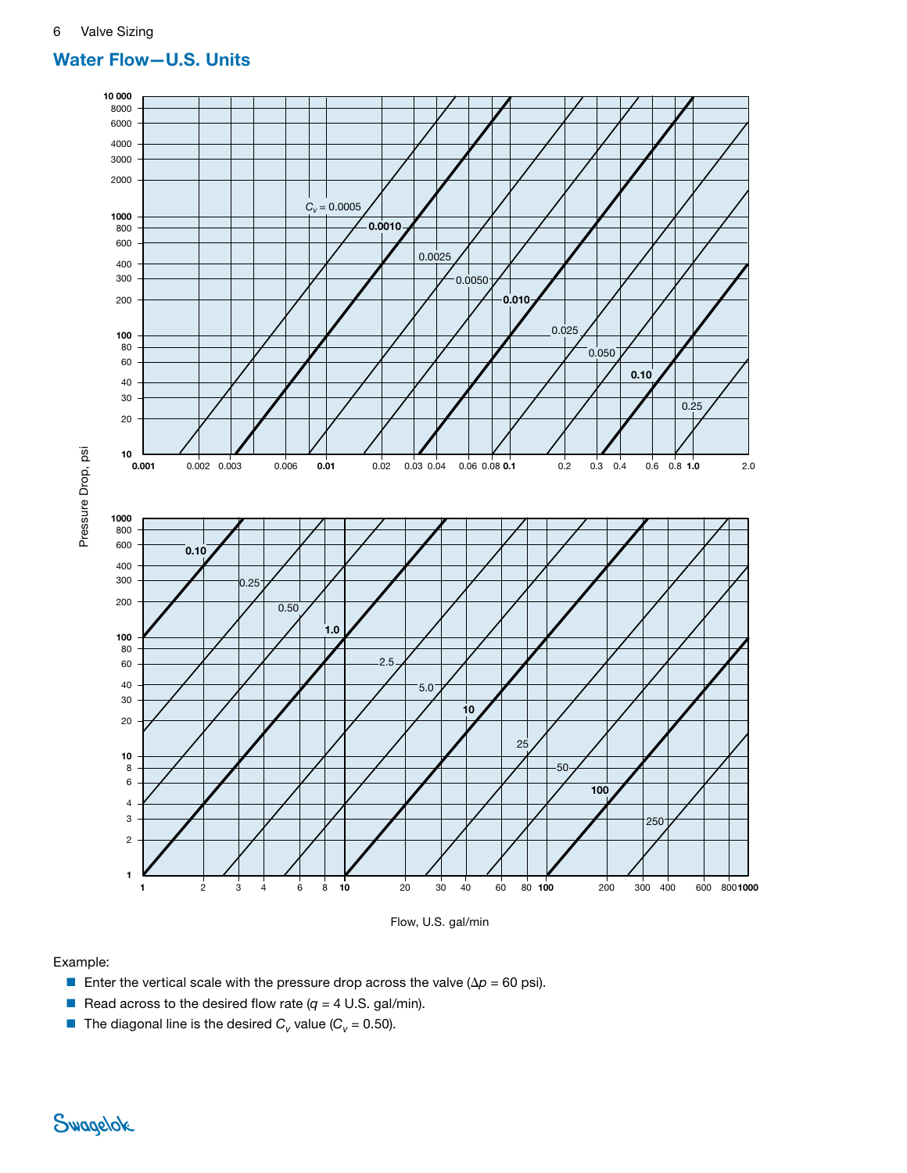# Water Flow—U.S. Units





#### Example:

- Enter the vertical scale with the pressure drop across the valve ( $\Delta p = 60$  psi).
- **•** Read across to the desired flow rate  $(q = 4 \text{ U.S. gal/min}).$
- **■** The diagonal line is the desired  $C_v$  value ( $C_v$  = 0.50).

Swagelok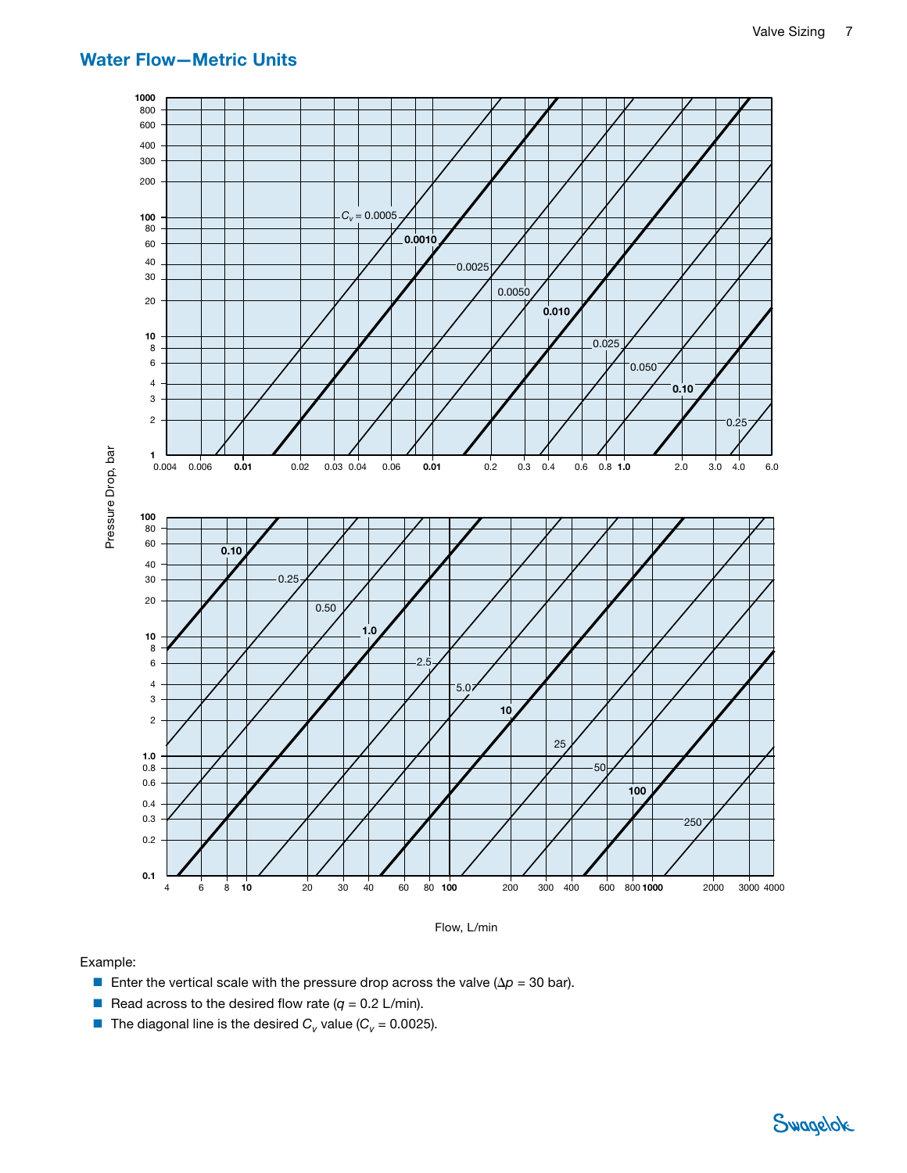# Water Flow—Metric Units



Flow, L/min

#### Example:

- **E** Enter the vertical scale with the pressure drop across the valve ( $\Delta p = 30$  bar).
- **•** Read across to the desired flow rate  $(q = 0.2 \text{ L/min})$ .
- 

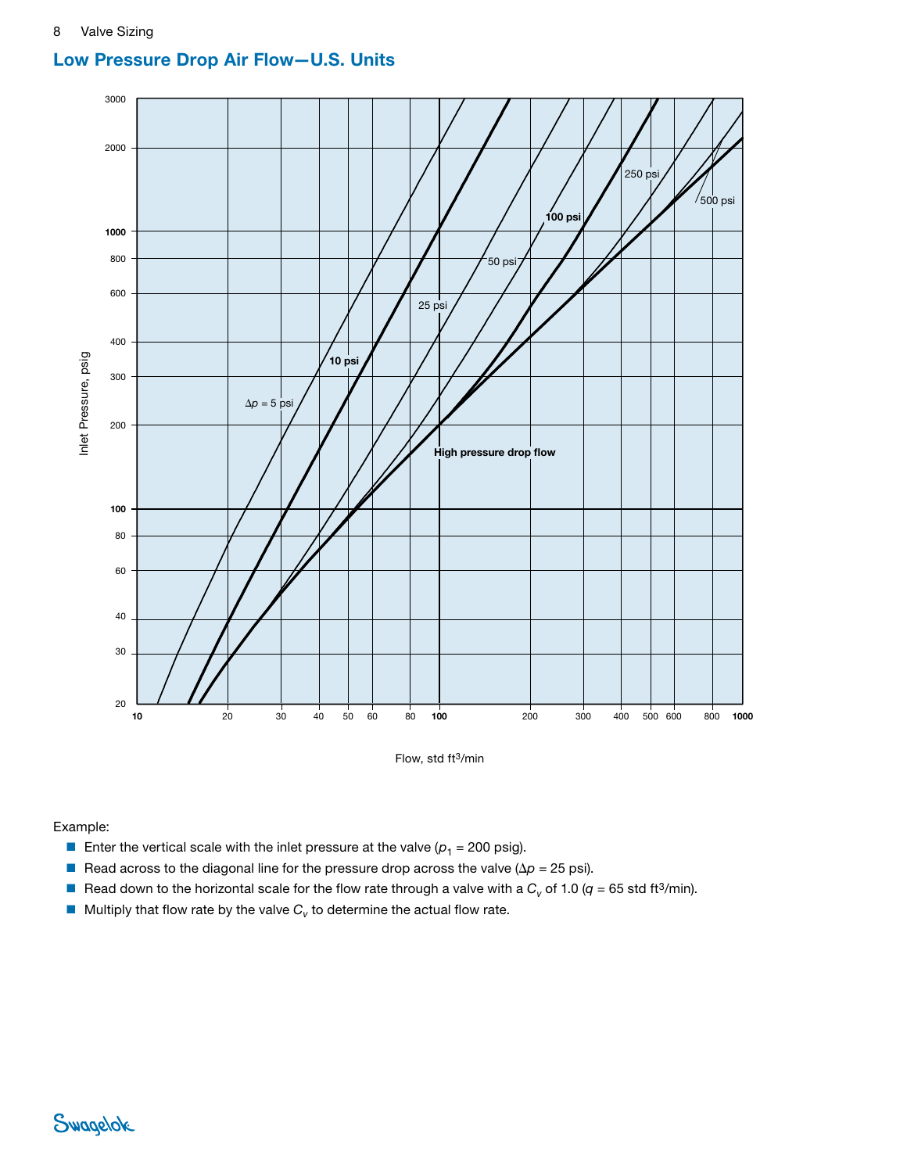#### Low pressure air drop ow, standard cubic feet per minute Low Pressure Drop Air Flow—U.S. Units



Flow, std ft3/min

#### Example:

- **E** Enter the vertical scale with the inlet pressure at the valve  $(p_1 = 200 \text{ psig}).$
- Read across to the diagonal line for the pressure drop across the valve ( $\Delta p = 25$  psi).
- Read down to the horizontal scale for the flow rate through a valve with a  $C_v$  of 1.0 ( $q = 65$  std ft<sup>3</sup>/min).
- $\blacksquare$  Multiply that flow rate by the valve  $C_v$  to determine the actual flow rate.

# Swagelok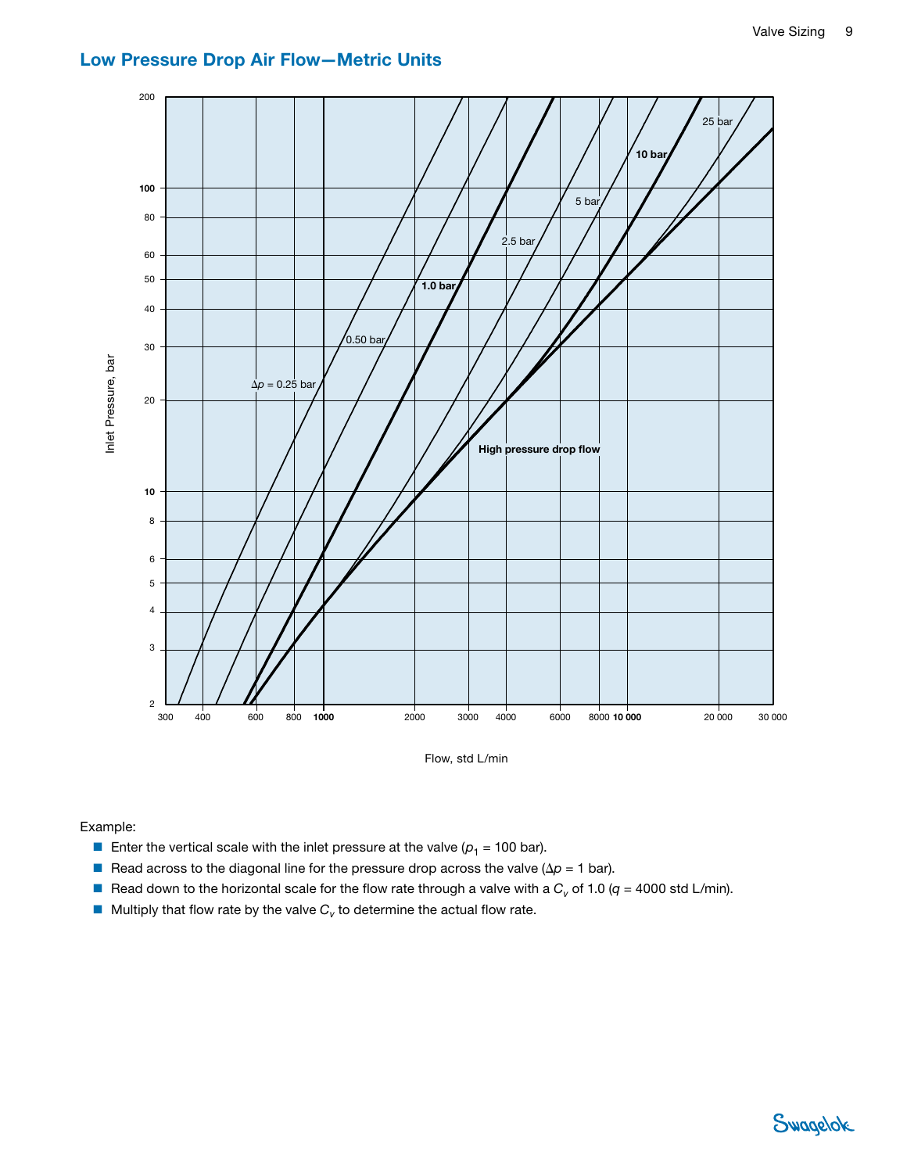# Low Pressure Drop Air Flow—Metric Units



Flow, std L/min

Example:

- Enter the vertical scale with the inlet pressure at the valve  $(p_1 = 100 \text{ bar})$ .
- Read across to the diagonal line for the pressure drop across the valve ( $\Delta p = 1$  bar).
- Read down to the horizontal scale for the flow rate through a valve with a  $C_v$  of 1.0 ( $q = 4000$  std L/min).
- 

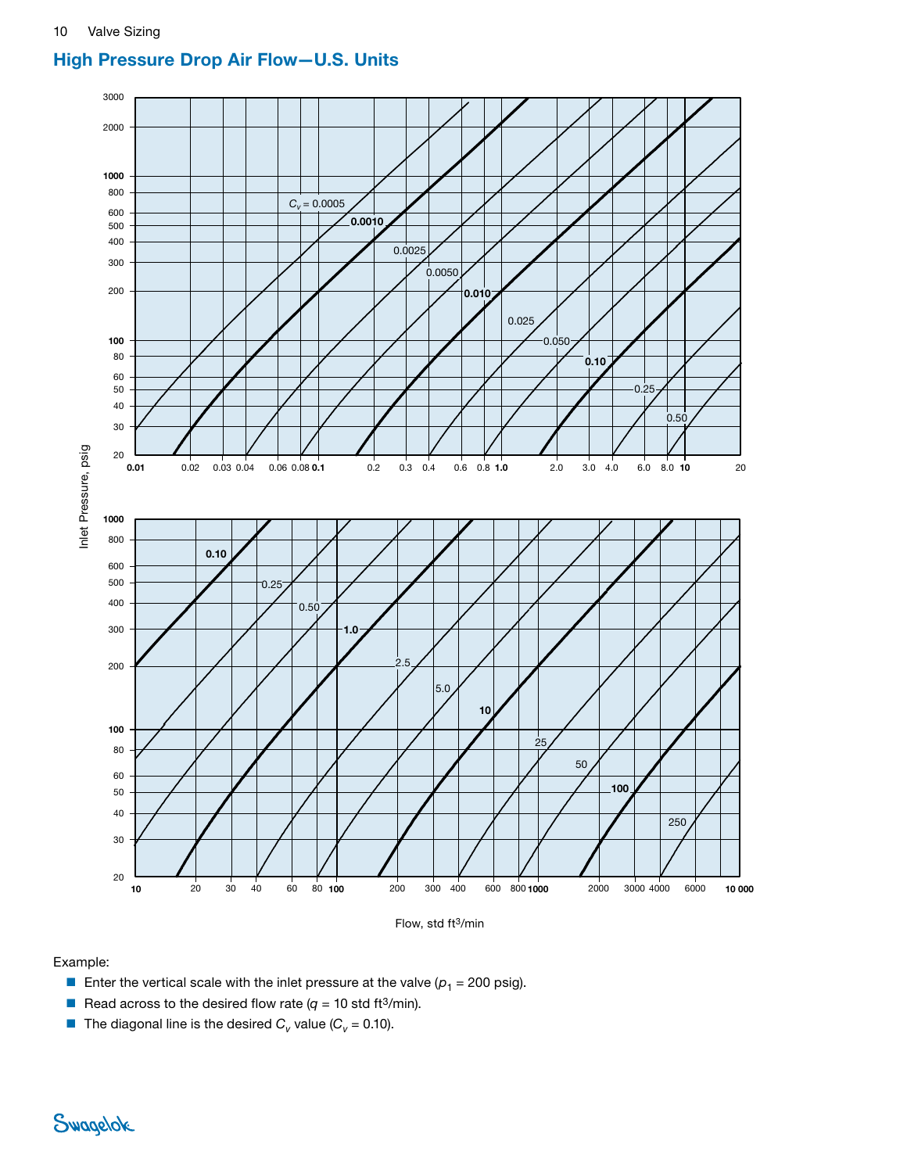# High Pressure Drop Air Flow—U.S. Units



Flow, std ft3/min

### Example:

- **E** Enter the vertical scale with the inlet pressure at the valve  $(p_1 = 200 \text{ psig}).$
- **•** Read across to the desired flow rate  $(q = 10 \text{ std ft}^3/\text{min}).$
- **■** The diagonal line is the desired  $C_v$  value ( $C_v$  = 0.10).

Swagelok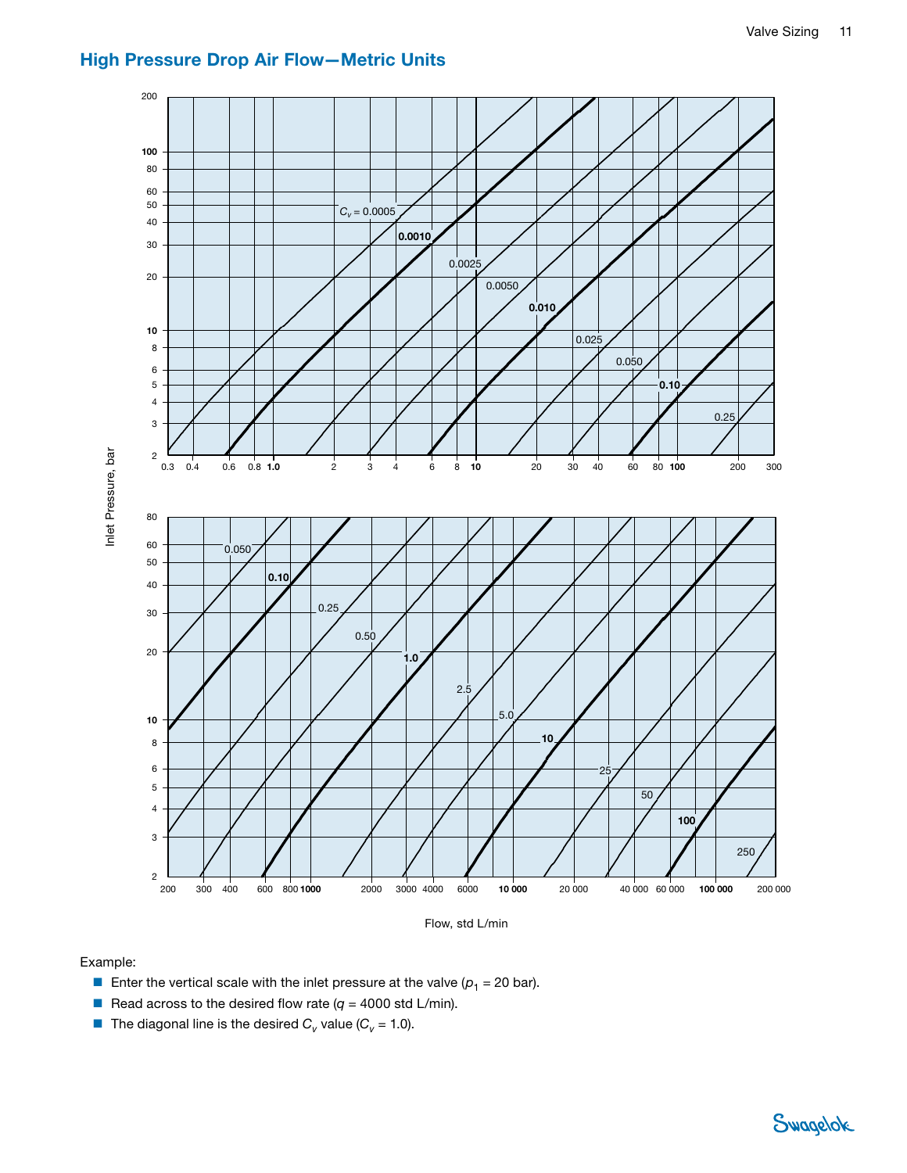

# High Pressure Drop Air Flow—Metric Units



Flow, std L/min

#### Example:

- Enter the vertical scale with the inlet pressure at the valve  $(p_1 = 20 \text{ bar})$ .
- **•** Read across to the desired flow rate  $(q = 4000 \text{ std L/min}).$
-